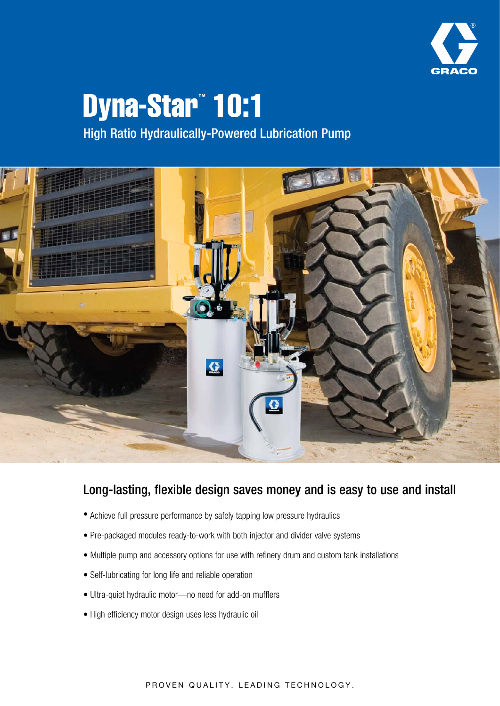

# Dyna-Star™ 10:1 High Ratio Hydraulically-Powered Lubrication Pump



## Long-lasting, flexible design saves money and is easy to use and install

- Achieve full pressure performance by safely tapping low pressure hydraulics
- Pre-packaged modules ready-to-work with both injector and divider valve systems
- Multiple pump and accessory options for use with refinery drum and custom tank installations
- Self-lubricating for long life and reliable operation
- Ultra-quiet hydraulic motor—no need for add-on mufflers
- High efficiency motor design uses less hydraulic oil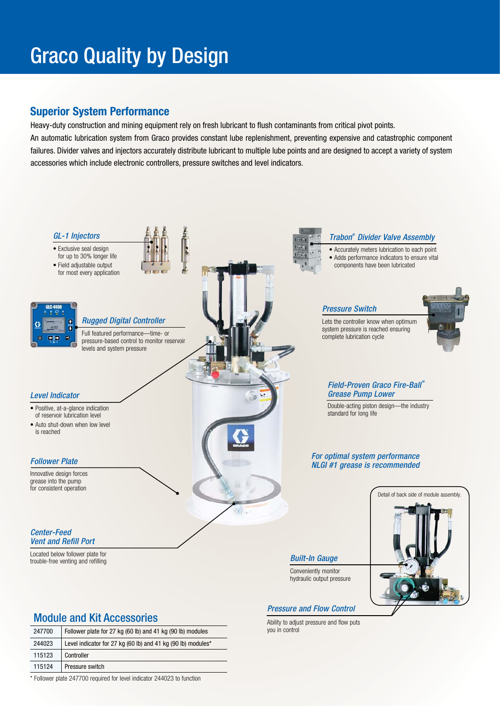# Graco Quality by Design

### **Superior System Performance**

Heavy-duty construction and mining equipment rely on fresh lubricant to flush contaminants from critical pivot points. An automatic lubrication system from Graco provides constant lube replenishment, preventing expensive and catastrophic component failures. Divider valves and injectors accurately distribute lubricant to multiple lube points and are designed to accept a variety of system accessories which include electronic controllers, pressure switches and level indicators.



Ability to adjust pressure and flow puts you in control

### Module and Kit Accessories

| 247700 | Follower plate for 27 kg (60 lb) and 41 kg (90 lb) modules   |  |  |  |
|--------|--------------------------------------------------------------|--|--|--|
| 244023 | Level indicator for 27 kg (60 lb) and 41 kg (90 lb) modules* |  |  |  |
| 115123 | Controller                                                   |  |  |  |
| 115124 | Pressure switch                                              |  |  |  |

\* Follower plate 247700 required for level indicator 244023 to function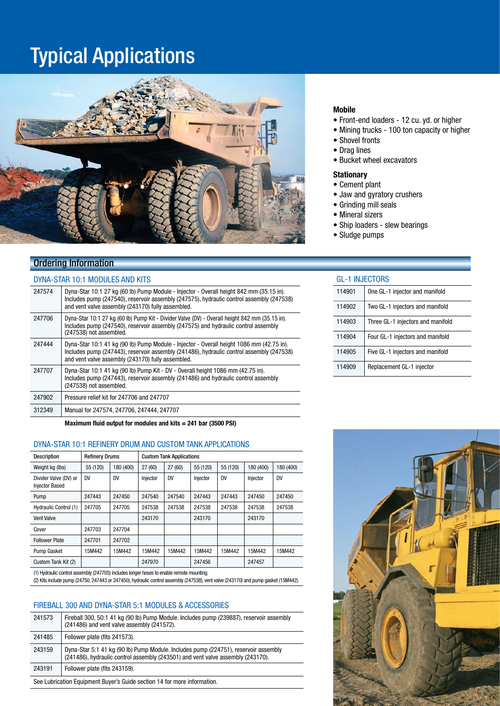## Typical Applications



### Ordering Information

### DYNA-STAR 10:1 MODULES AND KITS

| 247574 | Dyna-Star 10:1 27 kg (60 lb) Pump Module - Injector - Overall height 842 mm (35.15 in).<br>Includes pump (247540), reservoir assembly (247575), hydraulic control assembly (247538)<br>and vent valve assembly (243170) fully assembled.  |
|--------|-------------------------------------------------------------------------------------------------------------------------------------------------------------------------------------------------------------------------------------------|
| 247706 | Dyna-Star 10:1 27 kg (60 lb) Pump Kit - Divider Valve (DV) - Overall height 842 mm (35.15 in).<br>Includes pump (247540), reservoir assembly (247575) and hydraulic control assembly<br>(247538) not assembled.                           |
| 247444 | Dyna-Star 10:1 41 kg (90 lb) Pump Module - Injector - Overall height 1086 mm (42.75 in).<br>Includes pump (247443), reservoir assembly (241486), hydraulic control assembly (247538)<br>and vent valve assembly (243170) fully assembled. |
| 247707 | Dyna-Star 10:1 41 kg (90 lb) Pump Kit - DV - Overall height 1086 mm (42.75 in).<br>Includes pump (247443), reservoir assembly (241486) and hydraulic control assembly<br>(247538) not assembled.                                          |
| 247902 | Pressure relief kit for 247706 and 247707                                                                                                                                                                                                 |
| 312349 | Manual for 247574, 247706, 247444. 247707                                                                                                                                                                                                 |

**Maximum fluid output for modules and kits = 241 bar (3500 PSI)**

#### DYNA-STAR 10:1 REFINERY DRUM AND CUSTOM TANK APPLICATIONS

| <b>Description</b>                             | <b>Refinery Drums</b> |           | <b>Custom Tank Applications</b> |           |          |           |           |           |
|------------------------------------------------|-----------------------|-----------|---------------------------------|-----------|----------|-----------|-----------|-----------|
| Weight kg (lbs)                                | 55 (120)              | 180 (400) | 27(60)                          | 27 (60)   | 55 (120) | 55 (120)  | 180 (400) | 180 (400) |
| Divider Valve (DV) or<br><b>Injector Based</b> | <b>DV</b>             | <b>DV</b> | Injector                        | <b>DV</b> | Injector | <b>DV</b> | Injector  | <b>DV</b> |
| Pump                                           | 247443                | 247450    | 247540                          | 247540    | 247443   | 247443    | 247450    | 247450    |
| Hydraulic Control (1)                          | 247705                | 247705    | 247538                          | 247538    | 247538   | 247538    | 247538    | 247538    |
| <b>Vent Valve</b>                              |                       |           | 243170                          |           | 243170   |           | 243170    |           |
| Cover                                          | 247703                | 247704    |                                 |           |          |           |           |           |
| <b>Follower Plate</b>                          | 247701                | 247702    |                                 |           |          |           |           |           |
| Pump Gasket                                    | 15M442                | 15M442    | 15M442                          | 15M442    | 15M442   | 15M442    | 15M442    | 15M442    |
| Custom Tank Kit (2)                            |                       |           | 247970                          |           | 247456   |           | 247457    |           |
|                                                |                       |           |                                 |           |          |           |           |           |

(1) Hydraulic control assembly (247705) includes longer hoses to enable remote mounting.

(2) Kits include pump (24750, 247443 or 247450), hydraulic control assembly (247538), vent valve (243170) and pump gasket (15M442).

#### FIREBALL 300 AND DYNA-STAR 5:1 MODULES & ACCESSORIES

| 241573                                                                   | Fireball 300, 50:1 41 kg (90 lb) Pump Module. Includes pump (239887), reservoir assembly<br>(241486) and vent valve assembly (241572).                                 |  |
|--------------------------------------------------------------------------|------------------------------------------------------------------------------------------------------------------------------------------------------------------------|--|
| 241485                                                                   | Follower plate (fits 241573).                                                                                                                                          |  |
| 243159                                                                   | Dyna-Star 5:1 41 kg (90 lb) Pump Module. Includes pump (224751), reservoir assembly<br>(241486), hydraulic control assembly (243501) and vent valve assembly (243170). |  |
| 243191                                                                   | Follower plate (fits 243159).                                                                                                                                          |  |
| See Lubrication Equipment Buyer's Guide section 14 for more information. |                                                                                                                                                                        |  |

#### **Mobile**

- Front-end loaders 12 cu. yd. or higher
- Mining trucks 100 ton capacity or higher
- Shovel fronts
- Drag lines
- Bucket wheel excavators

#### **Stationary**

- Cement plant
- Jaw and gyratory crushers
- Grinding mill seals
- Mineral sizers
- Ship loaders slew bearings
- Sludge pumps

#### GL-1 INJECTORS

| 114901 | One GL-1 injector and manifold    |
|--------|-----------------------------------|
| 114902 | Two GL-1 injectors and manifold   |
| 114903 | Three GL-1 injectors and manifold |
| 114904 | Four GL-1 injectors and manifold  |
| 114905 | Five GL-1 injectors and manifold  |
| 114909 | Replacement GL-1 injector         |